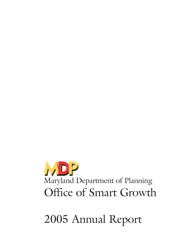

2005 Annual Report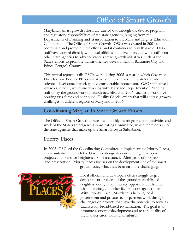# Office of Smart Growth

Maryland's smart growth efforts are carried out through the diverse programs and regulatory responsibilities of ten state agencies, ranging from the Departments of Planning and Transportation to the Maryland Higher Education Commission. The Office of Smart Growth (OSG) was created in 2001 to coordinate and promote these efforts, and it continues to play that role. OSG staff have worked directly with local officials and developers and with staff from other state agencies to advance various smart growth initiatives, such as the State's efforts to promote transit-oriented development in Baltimore City and Prince George's County.

This annual report details OSG's work during 2005, a year in which Governor Ehrlich's new Priority Places initiative commenced and the State's transitoriented development work gained considerable momentum. OSG staff played key roles in both, while also working with Maryland Department of Planning staff to lay the groundwork to launch new efforts in 2006, such as a workforce housing task force and continued "Reality Check" events that will address growth challenges in different regions of Maryland in 2006.

## Coordinating Maryland's Smart Growth Efforts

The Office of Smart Growth directs the monthly meetings and joint activities and work of the State's Interagency Coordinating Committee, which represents all of the state agencies that make up the Smart Growth Subcabinet.

## Priority Places

In 2005, OSG led the Coordinating Committee in implementing Priority Places, a new initiative in which the Governor designates outstanding development projects and plans for heightened State assistance. After years of progress on land preservation, Priority Places focuses on the development side of the smart growth coin, which has been far more challenging.

life in older cites, towns and suburbs.



Local officials and developers often struggle to get development projects off the ground in established neighborhoods, as community opposition, difficulties with financing, and other factors work against them. With Priority Places, Maryland is helping local government and private sector partners work through challenges on projects that have the potential to serve as catalysts for broad-based revitalization. The goal is to

promote economic development and restore quality of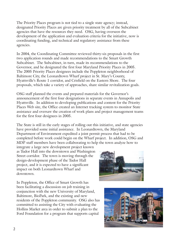The Priority Places program is not tied to a single state agency; instead, designated Priority Places are given priority treatment by all of the Subcabinet agencies that have the resources they need. OSG, having overseen the development of the application and evaluation criteria for the initiative, now is coordinating funding, and technical and regulatory assistance from these agencies.

In 2004, the Coordinating Committee reviewed thirty-six proposals in the first two application rounds and made recommendations to the Smart Growth Subcabinet. The Subcabinet, in turn, made its recommendations to the Governor, and he designated the first four Maryland Priority Places in 2005. The 2005 Priority Places designees include the Poppleton neighborhood of Baltimore City, the Leonardtown Wharf project in St. Mary's County, Hyattsville's Route 1 corridor, and Crisfield on the Eastern Shore. The four proposals, which take a variety of approaches, share similar revitalization goals.

OSG staff planned the events and prepared materials for the Governor's announcement of the first four designations in separate events in Annapolis and Hyattsville. In addition to developing publications and content for the Priority Places Web site, the Office created an Internet tracking system to monitor State assistance and oversaw the creation of work plans and project management teams for the first four designees in 2005.

The State is still in the early stages of rolling out this initiative, and state agencies have provided some initial assistance. In Leonardtown, the Maryland Department of Environment expedited a joint permit process that had to be completed before work could begin on the Wharf project. In addition, OSG and MDP staff members have been collaborating to help the town analyze how to

integrate a large new development project known as Tudor Hall into the downtown and Washington Street corridor. The town is moving through the design-development phase of the Tudor Hall project, and it is expected to have a significant impact on both Leonardtown Wharf and downtown.



In Poppleton, the Office of Smart Growth has been facilitating a discussion on job training in conjunction with the new University of Maryland, Baltimore, BioPark, and the existing and new residents of the Poppleton community. OSG also has committed to assisting the City with evaluating the Hollins Market area in order to submit a plan to the Ford Foundation for a program that supports capital

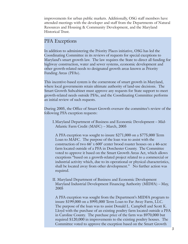improvements for urban public markets. Additionally, OSG staff members have attended meetings with the developer and staff from the Departments of Natural Resources and Housing & Community Development, and the Maryland Historical Trust.

#### PFA Exceptions

In addition to administering the Priority Places initiative, OSG has led the Coordinating Committee in its reviews of requests for special exceptions to Maryland's smart growth law. The law requires the State to direct all funding for highway construction, water and sewer systems, economic development and other growth-related needs to designated growth areas known as Priority Funding Areas (PFAs).

This incentive-based system is the cornerstone of smart growth in Maryland, where local governments retain ultimate authority of land-use decisions. The Smart Growth Subcabinet must approve any requests for State support to meet growth-related needs outside PFAs, and the Coordinating Committee performs an initial review of such requests.

During 2005, the Office of Smart Growth oversaw the committee's review of the following PFA exception requests:

I.Maryland Department of Business and Economic Development – Mid-Atlantic Farm Credit (MAFC) – March, 2005

A PFA exception was sought to insure \$271,000 on a \$775,000 Term Loan to MAFC. The purpose of the loan was to assist with the construction of two 66' x 600' center brood roaster houses on a 46-acre farm located outside of a PFA in Dorchester County. The Committee voted to approve it based on the Smart Growth Areas Act, which allows exceptions "based on a growth-related project related to a commercial or industrial activity which, due to its operational or physical characteristics, shall be located away from other development." No further action was required.

II. Maryland Department of Business and Economic Development Maryland Industrial Development Financing Authority (MIDFA) – May, 2005

A PFA exception was sought from the Department's MIDFA program to insure \$199,000 on a \$995,000 Term Loan to Far Away Farm, LLC. The purpose of the loan was to assist Donald L. Campbell and Scott K. Lloyd with the purchase of an existing poultry farm located outside a PFA in Caroline County. The purchase price of the farm was \$970,000 but required \$120,000 in improvements to the existing poultry houses. The Committee voted to approve the exception based on the Smart Growth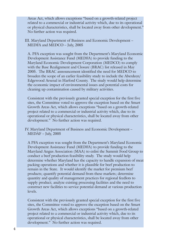Areas Act, which allows exceptions "based on a growth-related project related to a commercial or industrial activity which, due to its operational or physical characteristics, shall be located away from other development." No further action was required.

III. Maryland Department of Business and Economic Development – MEDFA and MEDCO – July, 2005

A. PFA exception was sought from the Department's Maryland Economic Development Assistance Fund (MEDFA) to provide funding to the Maryland Economic Development Corporation (MEDCO) to comply with the Base Realignment and Closure (BRAC) list released in May 2005. The BRAC announcement identified the need for MEDCO to broaden the scope of an earlier feasibility study to include the Aberdeen/ Edgewood Arsenal in Harford County. The study would help determine the economic impact of environmental issues and potential costs for cleaning up contamination caused by military activities.

Consistent with the previously granted special exception for the first five sites, the Committee voted to approve the exception based on the Smart Growth Areas Act, which allows exceptions "based on a growth-related project related to a commercial or industrial activity which, due to its operational or physical characteristics, shall be located away from other development." No further action was required.

IV. Maryland Department of Business and Economic Development – MEDAF – July, 2005

A PFA exception was sought from the Department's Maryland Economic Development Assistance Fund (MEDFA) to provide funding to the Maryland Angus Association (MAA) to enlist the Summit Food Group to conduct a beef production feasibility study. The study would help determine whether Maryland has the capacity to handle expansion of meat packing operations and whether it is plausible for beef production to remain in the State. It would identify the market for premium beef products; quantify potential demand from these markets; determine quantity and quality of management practices for regional feedlots to supply product; analyze existing processing facilities and the need to construct new facilities to service potential demand at various production levels.

Consistent with the previously granted special exception for the first five sites, the Committee voted to approve the exception based on the Smart Growth Areas Act, which allows exceptions "based on a growth-related project related to a commercial or industrial activity which, due to its operational or physical characteristics, shall be located away from other development." No further action was required.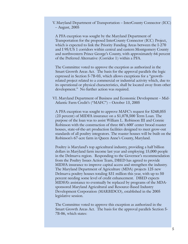V. Maryland Department of Transportation – InterCounty Connector (ICC) – August, 2005

A PFA exception was sought by the Maryland Department of Transportation for the proposed InterCounty Connector (ICC) Project, which is expected to link the Priority Funding Areas between the I-270 and I 95/US 1 corridors within central and eastern Montgomery County and northwestern Prince George's County, with approximately 64 percent of the Preferred Alternative (Corridor 1) within a PFA.

The Committee voted to approve the exception as authorized in the Smart Growth Areas Act. The basis for the approval parallels the logic expressed in Section 5-7B-03, which allows exceptions for a "growthrelated project related to a commercial or industrial activity which, due to its operational or physical characteristics, shall be located away from other development." No further action was required.

VI. Maryland Department of Business and Economic Development – Mid-Atlantic Farm Credit's ("MAFC") – October 13, 2005

A PFA exception was sought to approve MAFC's request for \$248,055 (23 percent) of MIDFA insurance on a \$1,078,500 Term Loan. The purpose of the loan was to assist William L. Robinson III and Connie Robinson with the construction of three 66'x 600' center brood roaster houses, state-of-the-art production facilities designed to meet grow-out standards of all poultry integrators. The roaster houses will be built on the Robinson's 67-acre farm in Queen Anne's County, Maryland.

Poultry is Maryland's top agricultural industry, providing a half billion dollars in Maryland farm income last year and employing 15,000 people in the Delmarva region. Responding to the Governor's recommendation from the Poultry Issues Action Team, DBED has agreed to provide MIDFA insurance to improve capital access and strengthen the industry. The Maryland Department of Agriculture (MDA) projects 125 new Delmarva poultry houses totaling \$31 million this year, with up to 50 percent needing some level of credit enhancement. DBED expects MIDFA's assistance to eventually be replaced by programs of the MDAsponsored Maryland Agricultural and Resource-Based Industry Development Corporation (MARBIDCO), established in the 2005 legislative session.

The Committee voted to approve this exception as authorized in the Smart Growth Areas Act. The basis for the approval parallels Section 5- 7B-06, which states: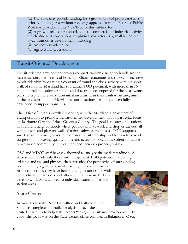(a) The State may provide funding for a growth-related project not in a priority funding area without receiving approval from the Board of Public Works as provided under § 5-7B-05 of this subtitle for:

(3) A growth-related project related to a commercial or industrial activity which, due to its operational or physical characteristics, shall be located away from other development, including:

(ii) An industry related to:

(1) Agricultural Operations.

## Transit-Oriented Development

Transit-oriented development creates compact, walkable neighborhoods around transit stations, with a mix of housing, offices, restaurants and shops. It increases transit ridership by creating a constant of round-the-clock activity within a short walk of stations. Maryland has substantial TOD potential, with more than 75 rail, light rail and subway stations and dozens more proposed for the next twenty years. Despite the State's substantial investment in transit infrastructure, much of the land surrounding Maryland's transit stations has not yet been fully developed to support transit use.

The Office of Smart Growth is working with the Maryland Department of Transportation to promote transit-oriented development, with a particular focus on Baltimore City and Prince George's County. The goal is to surround stations with vibrant neighborhoods where people can live, work and shop or eat out, all within a safe and pleasant walk of trains, subways and buses. TOD supports smart growth in many ways. It increases transit ridership and helps relieve road congestion, improving quality of life and access to jobs. It also often stimulates broad-based community reinvestment and increases property values.

OSG and MDOT staff have collaborated to analyze the market readiness of station areas to identify those with the greatest TOD potential, evaluating existing land use and physical characteristics, the perspective of surrounding communities, regulations, market strength and other issues.

At the same time, they have been building relationships with local officials, developers and others with a stake in TOD to develop work plans tailored to individual communities and station areas.

## State Center

In West Hyattsville, New Carrollton and Baltimore, the State has completed a detailed analysis of each site and



hosted charrettes to help stakeholders "design" transit-area development. In 2005, the focus was on the State Center office complex in Baltimore. OSG,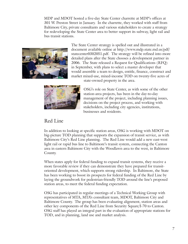MDP and MDOT hosted a five-day State Center charrette at MDP's offices at 301 W. Preston Street in January. In the charrette, they worked with staff from Baltimore City, private consultants and various stakeholders to create a strategy for redeveloping the State Center area to better support its subway, light rail and bus transit stations.



The State Center strategy is spelled out and illustrated in a document available online at http://www.mdp.state.md.us/pdf/ statecenter0302051.pdf. The strategy will be refined into more detailed plans after the State chooses a development partner in 2006. The State released a Request for Qualifications (RFQ) in September, with plans to select a master developer that would assemble a team to design, entitle, finance, construct and market mixed-use, mixed-income TOD on twenty-five acres of state-owned property in the area.



OSG's role on State Center, as with some of the other station-area projects, has been in the day-to-day management of the project, including planning issues, decisions on the project process, and working with stakeholders, including city agencies, institutions, businesses and residents.

## Red Line

In addition to looking at specific station areas, OSG is working with MDOT on big-picture TOD planning that supports the expansion of transit service, as with Baltimore City's Red Line planning. The Red Line would add a new east-west light rail or rapid bus line to Baltimore's transit system, connecting the Canton area in eastern Baltimore City with the Woodlawn area to the west, in Baltimore County.

When states apply for federal funding to expand transit systems, they receive a more favorable review if they can demonstrate they have prepared for transitoriented development, which supports strong ridership. In Baltimore, the State has been working to boost its prospects for federal funding of the Red Line by laying the groundwork for pedestrian-friendly TOD around the line's proposed station areas, to meet the federal funding expectation.

OSG has participated in regular meetings of a Technical Working Group with representatives of MTA, MTA's consultant team, MDOT, Baltimore City and Baltimore County. The group has been evaluating alignment, station areas and other key components of the Red Line from Security Square/I-70 to Canton. OSG staff has played an integral part in the evaluation of appropriate stations for TOD, and in planning, land use and market analysis.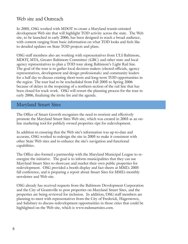## Web site and Outreach

In 2005, OSG worked with MDOT to create a Maryland transit-oriented development Web site that will highlight TOD activity across the state. The Web site, to be launched in early 2006, has been designed to reach a broad audience, with content ranging from basic information on what TOD looks and feels like to detailed updates on State TOD projects and plans.

OSG staff members also are working with representatives from ULI-Baltimore, MDOT, MTA, Greater Baltimore Committee (GBC) and other state and local agency representatives to plan a TOD tour along Baltimore's Light Rail line. The goal of the tour is to gather local decision makers (elected officials, agency representatives, development and design professionals) and community leaders for a half day to discuss existing short-term and long-term TOD opportunities in the region The tour had to be rescheduled from Fall 2005 to Spring 2006 because of delays in the reopening of a northern section of the rail line that has been closed for track work. OSG will restart the planning process for the tour in early 2006, finalizing the invite list and the agenda.

## Maryland Smart Sites

The Office of Smart Growth recognizes the need to reorient and effectively promote the Maryland Smart Sites Web site, which was created in 2003 as an online marketing tool for publicly owned properties ripe for redevelopment.

In addition to ensuring that the Web site's information was up-to-date and accurate, OSG worked to redesign the site in 2005 to make it consistent with other State Web sites and to enhance the site's navigation and functional capabilities.

The Office also formed a partnership with the Maryland Municipal League to reenergize the initiative. The goal is to inform municipalities that they can use Maryland Smart Sites to showcase and market their own public properties for redevelopment. OSG provided a booth display and fact sheets at MML's 2005 fall conference, and is preparing a report about Smart Sites for MML's monthly newsletter and Web site.

OSG already has received requests from the Baltimore Development Corporation and the City of Grantsville to post properties on Maryland Smart Sites, and the properties are being reviewed for inclusion. In addition, OSG staff members are planning to meet with representatives from the City of Frederick, Hagerstown, and Salisbury to discuss redevelopment opportunities in those cities that could be highlighted on the Web site, which is www.mdsmartsites.com.